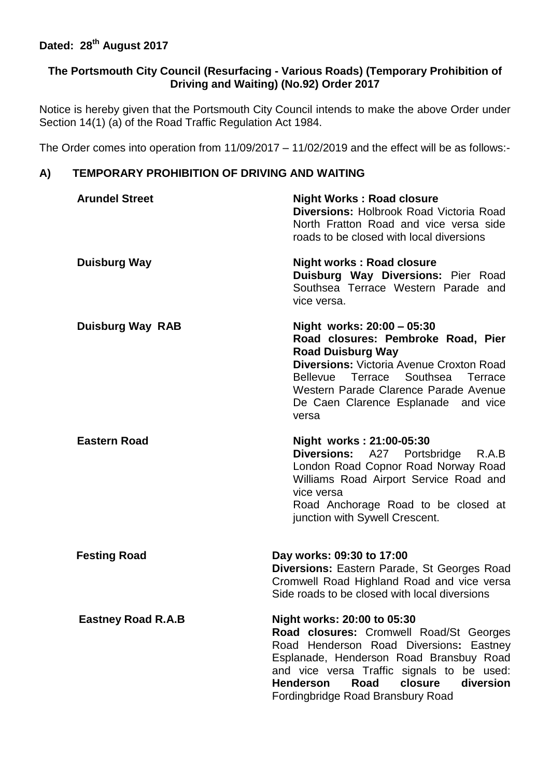# **Dated: 28th August 2017**

### **The Portsmouth City Council (Resurfacing - Various Roads) (Temporary Prohibition of Driving and Waiting) (No.92) Order 2017**

Notice is hereby given that the Portsmouth City Council intends to make the above Order under Section 14(1) (a) of the Road Traffic Regulation Act 1984.

The Order comes into operation from 11/09/2017 – 11/02/2019 and the effect will be as follows:-

## **A) TEMPORARY PROHIBITION OF DRIVING AND WAITING**

| <b>Arundel Street</b>     | <b>Night Works: Road closure</b><br><b>Diversions: Holbrook Road Victoria Road</b><br>North Fratton Road and vice versa side<br>roads to be closed with local diversions                                                                                                                                   |
|---------------------------|------------------------------------------------------------------------------------------------------------------------------------------------------------------------------------------------------------------------------------------------------------------------------------------------------------|
| <b>Duisburg Way</b>       | <b>Night works: Road closure</b><br>Duisburg Way Diversions: Pier Road<br>Southsea Terrace Western Parade and<br>vice versa.                                                                                                                                                                               |
| <b>Duisburg Way RAB</b>   | Night works: 20:00 - 05:30<br>Road closures: Pembroke Road, Pier<br><b>Road Duisburg Way</b><br><b>Diversions: Victoria Avenue Croxton Road</b><br>Bellevue Terrace Southsea Terrace<br>Western Parade Clarence Parade Avenue<br>De Caen Clarence Esplanade and vice<br>versa                              |
| <b>Eastern Road</b>       | Night works: 21:00-05:30<br><b>Diversions:</b><br>A27 Portsbridge R.A.B<br>London Road Copnor Road Norway Road<br>Williams Road Airport Service Road and<br>vice versa<br>Road Anchorage Road to be closed at<br>junction with Sywell Crescent.                                                            |
| <b>Festing Road</b>       | Day works: 09:30 to 17:00<br><b>Diversions: Eastern Parade, St Georges Road</b><br>Cromwell Road Highland Road and vice versa<br>Side roads to be closed with local diversions                                                                                                                             |
| <b>Eastney Road R.A.B</b> | Night works: 20:00 to 05:30<br>Road closures: Cromwell Road/St Georges<br>Road Henderson Road Diversions: Eastney<br>Esplanade, Henderson Road Bransbuy Road<br>and vice versa Traffic signals to be used:<br><b>Henderson</b><br><b>Road</b><br>closure<br>diversion<br>Fordingbridge Road Bransbury Road |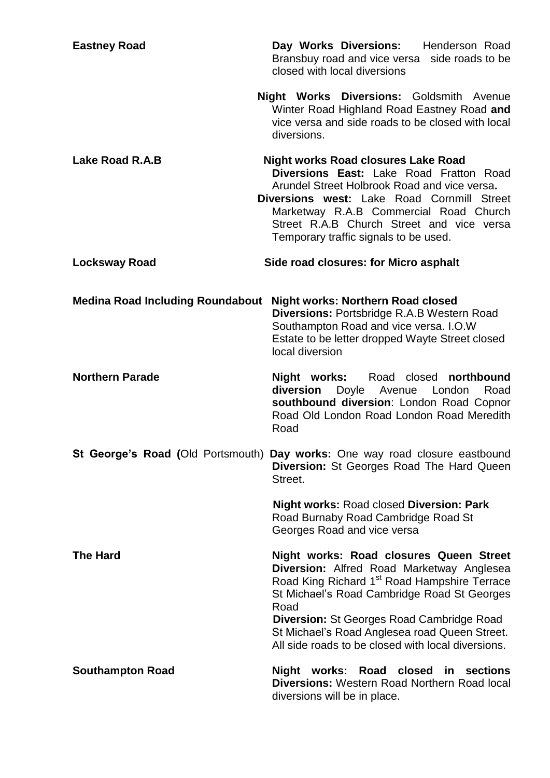| <b>Eastney Road</b>                     | Day Works Diversions: Henderson Road<br>Bransbuy road and vice versa side roads to be<br>closed with local diversions                                                                                                                                                                                                                                              |
|-----------------------------------------|--------------------------------------------------------------------------------------------------------------------------------------------------------------------------------------------------------------------------------------------------------------------------------------------------------------------------------------------------------------------|
|                                         | <b>Night Works Diversions: Goldsmith Avenue</b><br>Winter Road Highland Road Eastney Road and<br>vice versa and side roads to be closed with local<br>diversions.                                                                                                                                                                                                  |
| Lake Road R.A.B                         | <b>Night works Road closures Lake Road</b><br>Diversions East: Lake Road Fratton Road<br>Arundel Street Holbrook Road and vice versa.<br><b>Diversions west: Lake Road Cornmill Street</b><br>Marketway R.A.B Commercial Road Church<br>Street R.A.B Church Street and vice versa<br>Temporary traffic signals to be used.                                         |
| <b>Locksway Road</b>                    | Side road closures: for Micro asphalt                                                                                                                                                                                                                                                                                                                              |
| <b>Medina Road Including Roundabout</b> | <b>Night works: Northern Road closed</b><br>Diversions: Portsbridge R.A.B Western Road<br>Southampton Road and vice versa. I.O.W<br>Estate to be letter dropped Wayte Street closed<br>local diversion                                                                                                                                                             |
| <b>Northern Parade</b>                  | Night works: Road closed northbound<br>diversion<br>Doyle Avenue<br>London<br>Road<br>southbound diversion: London Road Copnor<br>Road Old London Road London Road Meredith<br>Road                                                                                                                                                                                |
|                                         | St George's Road (Old Portsmouth) Day works: One way road closure eastbound<br><b>Diversion:</b> St Georges Road The Hard Queen<br>Street.                                                                                                                                                                                                                         |
|                                         | <b>Night works: Road closed Diversion: Park</b><br>Road Burnaby Road Cambridge Road St<br>Georges Road and vice versa                                                                                                                                                                                                                                              |
| <b>The Hard</b>                         | Night works: Road closures Queen Street<br>Diversion: Alfred Road Marketway Anglesea<br>Road King Richard 1 <sup>st</sup> Road Hampshire Terrace<br>St Michael's Road Cambridge Road St Georges<br>Road<br><b>Diversion: St Georges Road Cambridge Road</b><br>St Michael's Road Anglesea road Queen Street.<br>All side roads to be closed with local diversions. |
| <b>Southampton Road</b>                 | Night works: Road closed in sections<br><b>Diversions: Western Road Northern Road local</b><br>diversions will be in place.                                                                                                                                                                                                                                        |